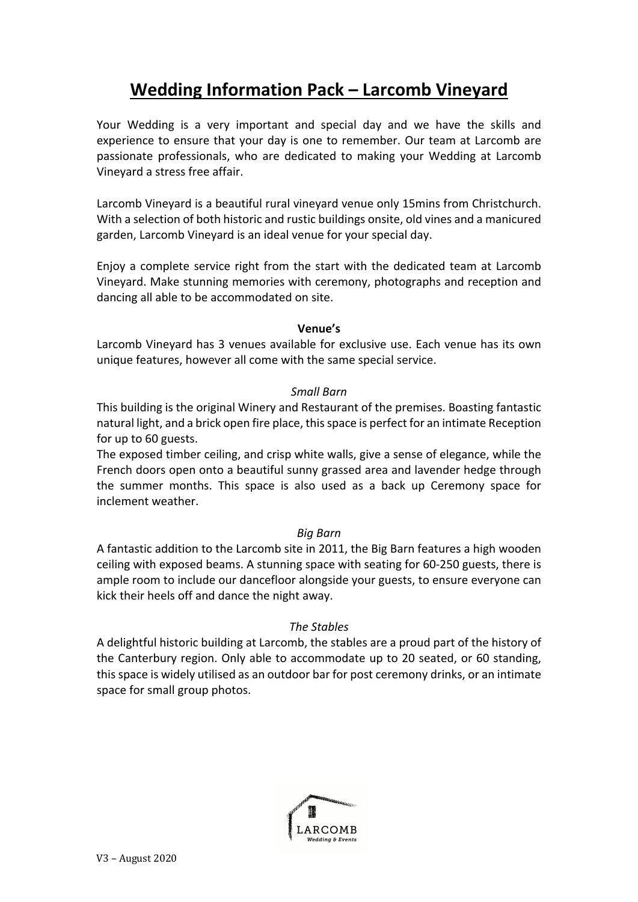# **Wedding Information Pack – Larcomb Vineyard**

Your Wedding is a very important and special day and we have the skills and experience to ensure that your day is one to remember. Our team at Larcomb are passionate professionals, who are dedicated to making your Wedding at Larcomb Vineyard a stress free affair.

Larcomb Vineyard is a beautiful rural vineyard venue only 15mins from Christchurch. With a selection of both historic and rustic buildings onsite, old vines and a manicured garden, Larcomb Vineyard is an ideal venue for your special day.

Enjoy a complete service right from the start with the dedicated team at Larcomb Vineyard. Make stunning memories with ceremony, photographs and reception and dancing all able to be accommodated on site.

## **Venue's**

Larcomb Vineyard has 3 venues available for exclusive use. Each venue has its own unique features, however all come with the same special service.

## *Small Barn*

This building is the original Winery and Restaurant of the premises. Boasting fantastic natural light, and a brick open fire place, this space is perfect for an intimate Reception for up to 60 guests.

The exposed timber ceiling, and crisp white walls, give a sense of elegance, while the French doors open onto a beautiful sunny grassed area and lavender hedge through the summer months. This space is also used as a back up Ceremony space for inclement weather.

## *Big Barn*

A fantastic addition to the Larcomb site in 2011, the Big Barn features a high wooden ceiling with exposed beams. A stunning space with seating for 60-250 guests, there is ample room to include our dancefloor alongside your guests, to ensure everyone can kick their heels off and dance the night away.

## *The Stables*

A delightful historic building at Larcomb, the stables are a proud part of the history of the Canterbury region. Only able to accommodate up to 20 seated, or 60 standing, this space is widely utilised as an outdoor bar for post ceremony drinks, or an intimate space for small group photos.

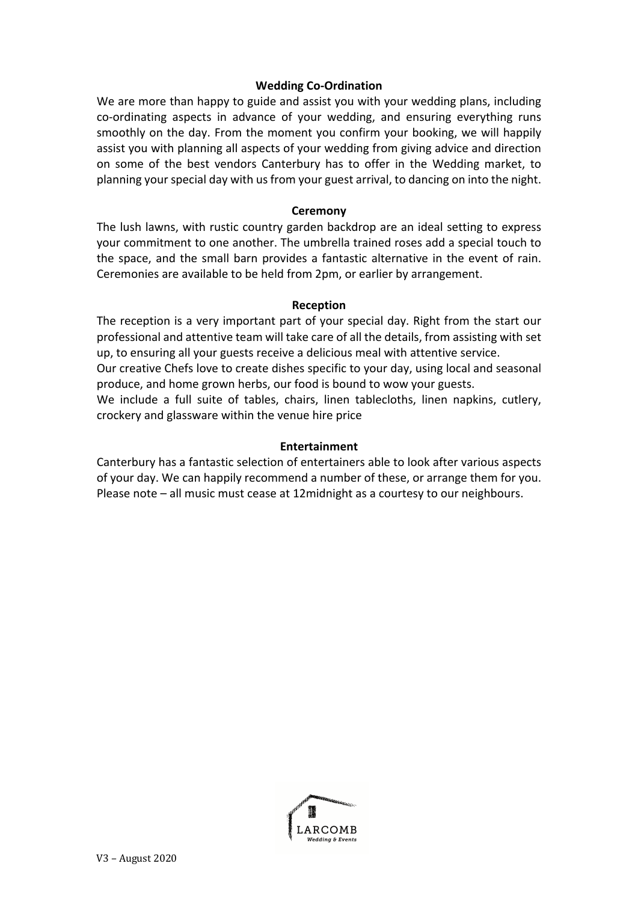## **Wedding Co-Ordination**

We are more than happy to guide and assist you with your wedding plans, including co-ordinating aspects in advance of your wedding, and ensuring everything runs smoothly on the day. From the moment you confirm your booking, we will happily assist you with planning all aspects of your wedding from giving advice and direction on some of the best vendors Canterbury has to offer in the Wedding market, to planning your special day with us from your guest arrival, to dancing on into the night.

## **Ceremony**

The lush lawns, with rustic country garden backdrop are an ideal setting to express your commitment to one another. The umbrella trained roses add a special touch to the space, and the small barn provides a fantastic alternative in the event of rain. Ceremonies are available to be held from 2pm, or earlier by arrangement.

#### **Reception**

The reception is a very important part of your special day. Right from the start our professional and attentive team will take care of all the details, from assisting with set up, to ensuring all your guests receive a delicious meal with attentive service.

Our creative Chefs love to create dishes specific to your day, using local and seasonal produce, and home grown herbs, our food is bound to wow your guests.

We include a full suite of tables, chairs, linen tablecloths, linen napkins, cutlery, crockery and glassware within the venue hire price

#### **Entertainment**

Canterbury has a fantastic selection of entertainers able to look after various aspects of your day. We can happily recommend a number of these, or arrange them for you. Please note – all music must cease at 12midnight as a courtesy to our neighbours.

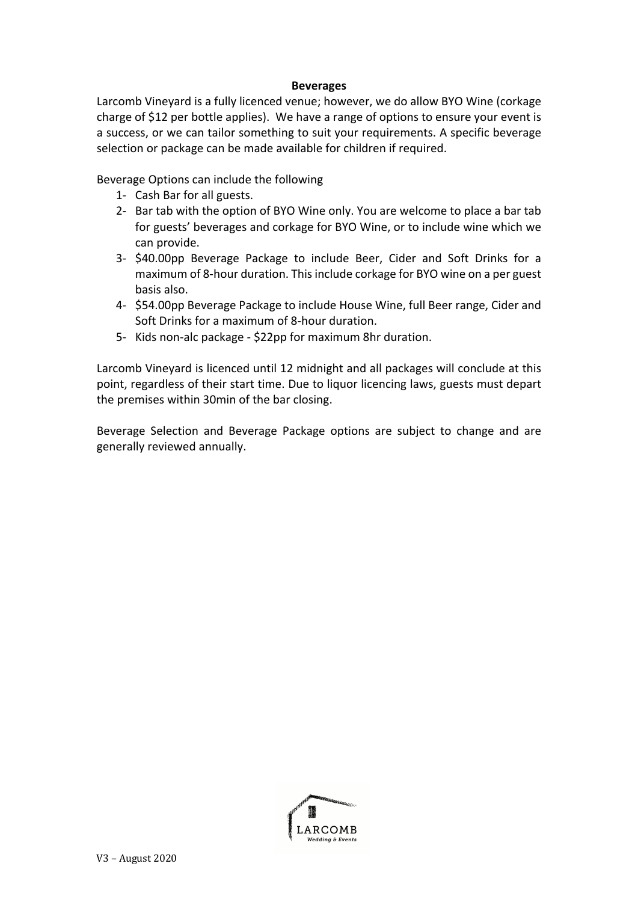#### **Beverages**

Larcomb Vineyard is a fully licenced venue; however, we do allow BYO Wine (corkage charge of \$12 per bottle applies). We have a range of options to ensure your event is a success, or we can tailor something to suit your requirements. A specific beverage selection or package can be made available for children if required.

Beverage Options can include the following

- 1- Cash Bar for all guests.
- 2- Bar tab with the option of BYO Wine only. You are welcome to place a bar tab for guests' beverages and corkage for BYO Wine, or to include wine which we can provide.
- 3- \$40.00pp Beverage Package to include Beer, Cider and Soft Drinks for a maximum of 8-hour duration. This include corkage for BYO wine on a per guest basis also.
- 4- \$54.00pp Beverage Package to include House Wine, full Beer range, Cider and Soft Drinks for a maximum of 8-hour duration.
- 5- Kids non-alc package \$22pp for maximum 8hr duration.

Larcomb Vineyard is licenced until 12 midnight and all packages will conclude at this point, regardless of their start time. Due to liquor licencing laws, guests must depart the premises within 30min of the bar closing.

Beverage Selection and Beverage Package options are subject to change and are generally reviewed annually.

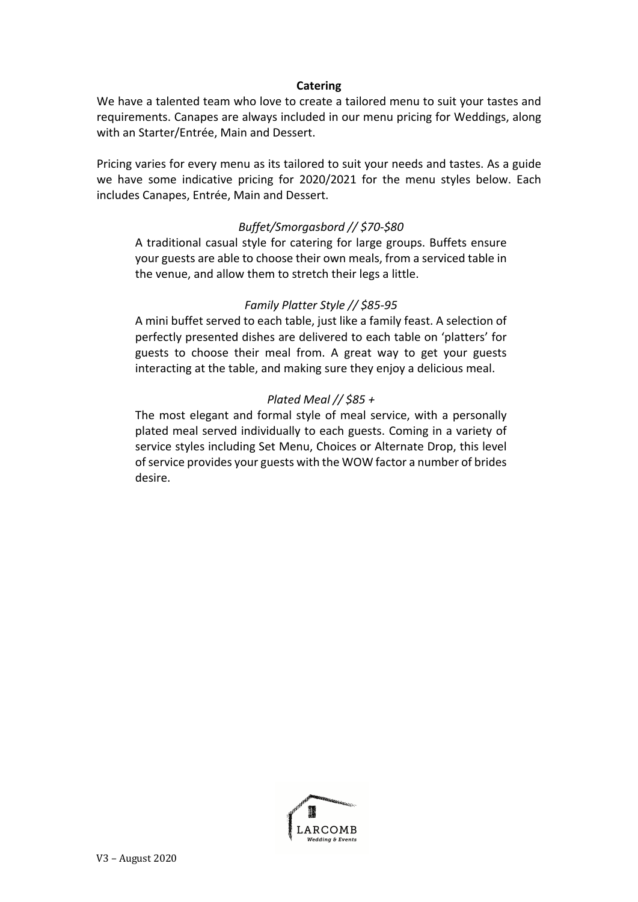## **Catering**

We have a talented team who love to create a tailored menu to suit your tastes and requirements. Canapes are always included in our menu pricing for Weddings, along with an Starter/Entrée, Main and Dessert.

Pricing varies for every menu as its tailored to suit your needs and tastes. As a guide we have some indicative pricing for 2020/2021 for the menu styles below. Each includes Canapes, Entrée, Main and Dessert.

# *Buffet/Smorgasbord // \$70-\$80*

A traditional casual style for catering for large groups. Buffets ensure your guests are able to choose their own meals, from a serviced table in the venue, and allow them to stretch their legs a little.

# *Family Platter Style // \$85-95*

A mini buffet served to each table, just like a family feast. A selection of perfectly presented dishes are delivered to each table on 'platters' for guests to choose their meal from. A great way to get your guests interacting at the table, and making sure they enjoy a delicious meal.

# *Plated Meal // \$85 +*

The most elegant and formal style of meal service, with a personally plated meal served individually to each guests. Coming in a variety of service styles including Set Menu, Choices or Alternate Drop, this level of service provides your guests with the WOW factor a number of brides desire.

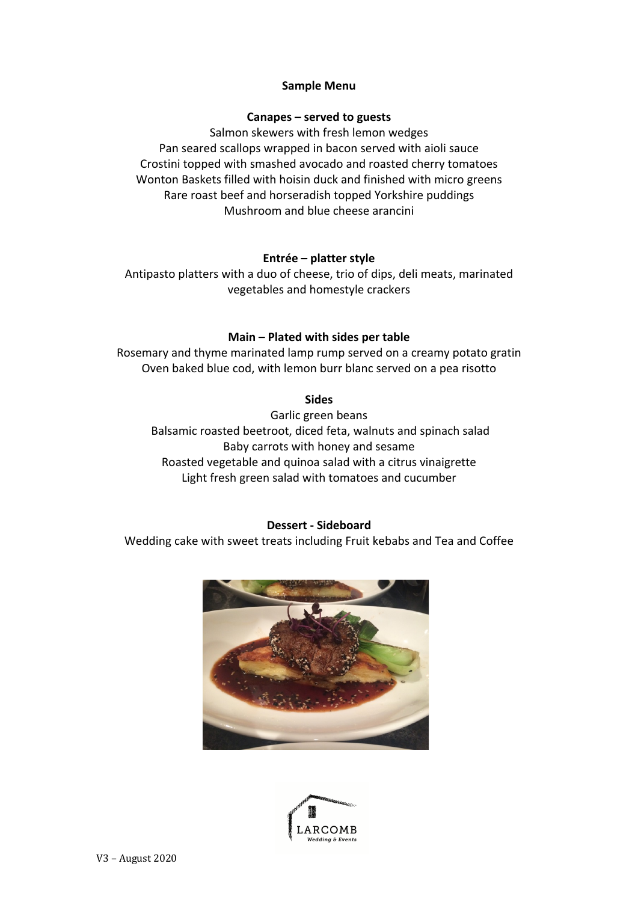## **Sample Menu**

## **Canapes – served to guests**

Salmon skewers with fresh lemon wedges Pan seared scallops wrapped in bacon served with aioli sauce Crostini topped with smashed avocado and roasted cherry tomatoes Wonton Baskets filled with hoisin duck and finished with micro greens Rare roast beef and horseradish topped Yorkshire puddings Mushroom and blue cheese arancini

# **Entrée – platter style**

Antipasto platters with a duo of cheese, trio of dips, deli meats, marinated vegetables and homestyle crackers

# **Main – Plated with sides per table**

Rosemary and thyme marinated lamp rump served on a creamy potato gratin Oven baked blue cod, with lemon burr blanc served on a pea risotto

## **Sides**

Garlic green beans Balsamic roasted beetroot, diced feta, walnuts and spinach salad Baby carrots with honey and sesame Roasted vegetable and quinoa salad with a citrus vinaigrette Light fresh green salad with tomatoes and cucumber

## **Dessert - Sideboard**

Wedding cake with sweet treats including Fruit kebabs and Tea and Coffee